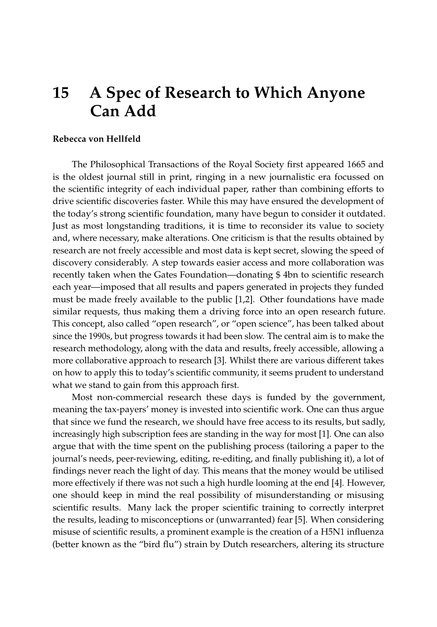## **15 A Spec of Research to Which Anyone Can Add**

## **Rebecca von Hellfeld**

The Philosophical Transactions of the Royal Society first appeared 1665 and is the oldest journal still in print, ringing in a new journalistic era focussed on the scientific integrity of each individual paper, rather than combining efforts to drive scientific discoveries faster. While this may have ensured the development of the today's strong scientific foundation, many have begun to consider it outdated. Just as most longstanding traditions, it is time to reconsider its value to society and, where necessary, make alterations. One criticism is that the results obtained by research are not freely accessible and most data is kept secret, slowing the speed of discovery considerably. A step towards easier access and more collaboration was recently taken when the Gates Foundation—donating \$ 4bn to scientific research each year—imposed that all results and papers generated in projects they funded must be made freely available to the public [\[1,](#page-2-0)[2\]](#page-2-1). Other foundations have made similar requests, thus making them a driving force into an open research future. This concept, also called "open research", or "open science", has been talked about since the 1990s, but progress towards it had been slow. The central aim is to make the research methodology, along with the data and results, freely accessible, allowing a more collaborative approach to research [\[3\]](#page-2-2). Whilst there are various different takes on how to apply this to today's scientific community, it seems prudent to understand what we stand to gain from this approach first.

Most non-commercial research these days is funded by the government, meaning the tax-payers' money is invested into scientific work. One can thus argue that since we fund the research, we should have free access to its results, but sadly, increasingly high subscription fees are standing in the way for most [\[1\]](#page-2-0). One can also argue that with the time spent on the publishing process (tailoring a paper to the journal's needs, peer-reviewing, editing, re-editing, and finally publishing it), a lot of findings never reach the light of day. This means that the money would be utilised more effectively if there was not such a high hurdle looming at the end [\[4\]](#page-2-3). However, one should keep in mind the real possibility of misunderstanding or misusing scientific results. Many lack the proper scientific training to correctly interpret the results, leading to misconceptions or (unwarranted) fear [\[5\]](#page-2-4). When considering misuse of scientific results, a prominent example is the creation of a H5N1 influenza (better known as the "bird flu") strain by Dutch researchers, altering its structure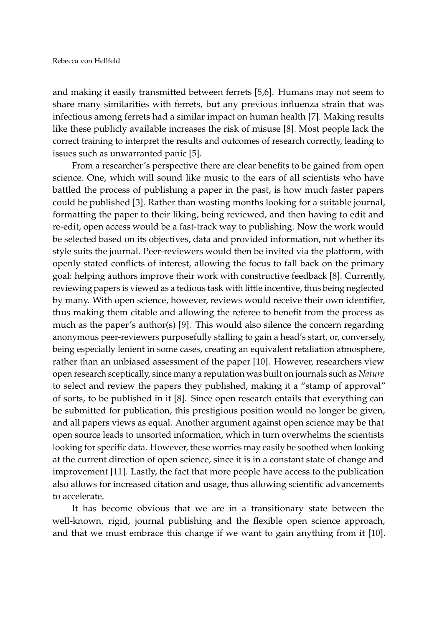and making it easily transmitted between ferrets [\[5,](#page-2-4)[6\]](#page-2-5). Humans may not seem to share many similarities with ferrets, but any previous influenza strain that was infectious among ferrets had a similar impact on human health [\[7\]](#page-2-6). Making results like these publicly available increases the risk of misuse [\[8\]](#page-2-7). Most people lack the correct training to interpret the results and outcomes of research correctly, leading to issues such as unwarranted panic [\[5\]](#page-2-4).

From a researcher's perspective there are clear benefits to be gained from open science. One, which will sound like music to the ears of all scientists who have battled the process of publishing a paper in the past, is how much faster papers could be published [\[3\]](#page-2-2). Rather than wasting months looking for a suitable journal, formatting the paper to their liking, being reviewed, and then having to edit and re-edit, open access would be a fast-track way to publishing. Now the work would be selected based on its objectives, data and provided information, not whether its style suits the journal. Peer-reviewers would then be invited via the platform, with openly stated conflicts of interest, allowing the focus to fall back on the primary goal: helping authors improve their work with constructive feedback [\[8\]](#page-2-7). Currently, reviewing papers is viewed as a tedious task with little incentive, thus being neglected by many. With open science, however, reviews would receive their own identifier, thus making them citable and allowing the referee to benefit from the process as much as the paper's author(s) [\[9\]](#page-3-0). This would also silence the concern regarding anonymous peer-reviewers purposefully stalling to gain a head's start, or, conversely, being especially lenient in some cases, creating an equivalent retaliation atmosphere, rather than an unbiased assessment of the paper [\[10\]](#page-3-1). However, researchers view open research sceptically, since many a reputation was built on journals such as *Nature* to select and review the papers they published, making it a "stamp of approval" of sorts, to be published in it [\[8\]](#page-2-7). Since open research entails that everything can be submitted for publication, this prestigious position would no longer be given, and all papers views as equal. Another argument against open science may be that open source leads to unsorted information, which in turn overwhelms the scientists looking for specific data. However, these worries may easily be soothed when looking at the current direction of open science, since it is in a constant state of change and improvement [\[11\]](#page-3-2). Lastly, the fact that more people have access to the publication also allows for increased citation and usage, thus allowing scientific advancements to accelerate.

It has become obvious that we are in a transitionary state between the well-known, rigid, journal publishing and the flexible open science approach, and that we must embrace this change if we want to gain anything from it [\[10\]](#page-3-1).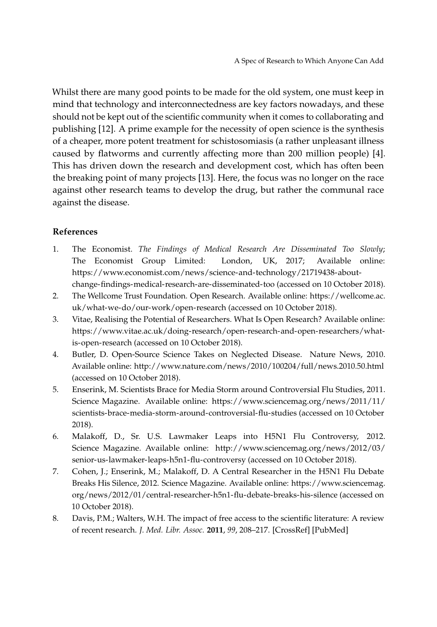Whilst there are many good points to be made for the old system, one must keep in mind that technology and interconnectedness are key factors nowadays, and these should not be kept out of the scientific community when it comes to collaborating and publishing [\[12\]](#page-3-3). A prime example for the necessity of open science is the synthesis of a cheaper, more potent treatment for schistosomiasis (a rather unpleasant illness caused by flatworms and currently affecting more than 200 million people) [\[4\]](#page-2-3). This has driven down the research and development cost, which has often been the breaking point of many projects [\[13\]](#page-3-4). Here, the focus was no longer on the race against other research teams to develop the drug, but rather the communal race against the disease.

## **References**

- <span id="page-2-0"></span>1. The Economist. *The Findings of Medical Research Are Disseminated Too Slowly*; The Economist Group Limited: London, UK, 2017; Available online: [https://www.economist.com/news/science-and-technology/21719438-about](https://www.economist.com/news/science-and-technology/21719438-about-change-findings-medical-research-are-disseminated-too)[change-findings-medical-research-are-disseminated-too](https://www.economist.com/news/science-and-technology/21719438-about-change-findings-medical-research-are-disseminated-too) (accessed on 10 October 2018).
- <span id="page-2-1"></span>2. The Wellcome Trust Foundation. Open Research. Available online: [https://wellcome.ac.](https://wellcome.ac.uk/what-we-do/our-work/open-research) [uk/what-we-do/our-work/open-research](https://wellcome.ac.uk/what-we-do/our-work/open-research) (accessed on 10 October 2018).
- <span id="page-2-2"></span>3. Vitae, Realising the Potential of Researchers. What Is Open Research? Available online: [https://www.vitae.ac.uk/doing-research/open-research-and-open-researchers/what](https://www.vitae.ac.uk/doing-research/open-research-and-open-researchers/what-is-open-research)[is-open-research](https://www.vitae.ac.uk/doing-research/open-research-and-open-researchers/what-is-open-research) (accessed on 10 October 2018).
- <span id="page-2-3"></span>4. Butler, D. Open-Source Science Takes on Neglected Disease. Nature News, 2010. Available online: <http://www.nature.com/news/2010/100204/full/news.2010.50.html> (accessed on 10 October 2018).
- <span id="page-2-4"></span>5. Enserink, M. Scientists Brace for Media Storm around Controversial Flu Studies, 2011. Science Magazine. Available online: [https://www.sciencemag.org/news/2011/11/](https://www.sciencemag.org/news/2011/11/scientists-brace-media-storm-around-controversial-flu-studies) [scientists-brace-media-storm-around-controversial-flu-studies](https://www.sciencemag.org/news/2011/11/scientists-brace-media-storm-around-controversial-flu-studies) (accessed on 10 October 2018).
- <span id="page-2-5"></span>6. Malakoff, D., Sr. U.S. Lawmaker Leaps into H5N1 Flu Controversy, 2012. Science Magazine. Available online: [http://www.sciencemag.org/news/2012/03/](http://www.sciencemag.org/news/2012/03/senior-us-lawmaker-leaps-h5n1-flu-controversy) [senior-us-lawmaker-leaps-h5n1-flu-controversy](http://www.sciencemag.org/news/2012/03/senior-us-lawmaker-leaps-h5n1-flu-controversy) (accessed on 10 October 2018).
- <span id="page-2-6"></span>7. Cohen, J.; Enserink, M.; Malakoff, D. A Central Researcher in the H5N1 Flu Debate Breaks His Silence, 2012. Science Magazine. Available online: [https://www.sciencemag.](https://www.sciencemag.org/news/2012/01/central-researcher-h5n1-flu-debate-breaks-his-silence) [org/news/2012/01/central-researcher-h5n1-flu-debate-breaks-his-silence](https://www.sciencemag.org/news/2012/01/central-researcher-h5n1-flu-debate-breaks-his-silence) (accessed on 10 October 2018).
- <span id="page-2-7"></span>8. Davis, P.M.; Walters, W.H. The impact of free access to the scientific literature: A review of recent research. *J. Med. Libr. Assoc.* **2011**, *99*, 208–217. [\[CrossRef\]](http://dx.doi.org/10.3163/1536-5050.99.3.008) [\[PubMed\]](http://www.ncbi.nlm.nih.gov/pubmed/21753913)